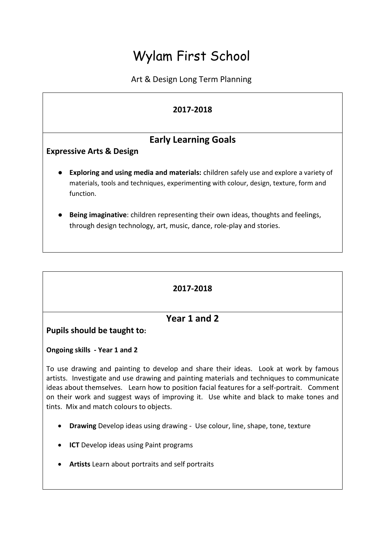# Wylam First School

Art & Design Long Term Planning

#### **2017-2018**

## **Early Learning Goals**

**Expressive Arts & Design**

- **Exploring and using media and materials:** children safely use and explore a variety of materials, tools and techniques, experimenting with colour, design, texture, form and function.
- **Being imaginative**: children representing their own ideas, thoughts and feelings, through design technology, art, music, dance, role-play and stories.